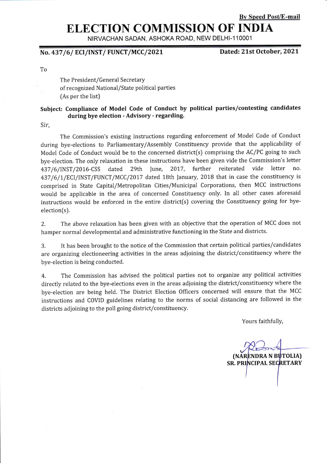#### Bv Speed Post/E-mail

# ELECTION COMMISSION OF INDIA

NIRVACHAN SADAN, ASHOKA ROAD, NEW DELHI-11OOO1

### No. 437/6/ ECI/INST/ FUNCT/MCC/2021

Dated: 21st October, 2021

To

The President/General Secretary of recognized National/State political parties (As per the list)

#### Subject: Compliance of Model Code of Conduct by political parties/contesting candidates during bye election - Advisory - regarding.

Sir,

The Commission's existing instructions regarding enforcement of Model Code of Conduct during bye-elections to Parliamentary/Assembly Constituency provide that the applicability of Model Code of Conduct would be to the concerned district(s) comprising the AC/PC going to such bye-election. The only relaxation in these instructions have been given vide the Commission's letter 437/6/INST/2016-CSS dated 29th June, 2017, further reiterated vide letter 437/6/1/ECI/INST/FUNCT/MCC/2017 dated 18th January, 2018 that in case the constituency is comprised in State Capital/Metropolitan Cities/Municipal Corporations, then MCC instructions would be applicable in the area of concerned Constituency only. In all other cases aforesaid instructions would be enforced in the entire district[s) covering the Constituency going for byeelection(s).

2. The above relaxation has been given with an objective that the operation of MCC does not hamper normal developmental and administrative functioning in the State and districts.

3. It has been brought to the notice of the Commission that certain politicdl parties/candidates are organizing electioneering activities in the areas adjoining the district/constituency where the bye-election is being conducted.

4. The Commission has advised the political parties not to organize any political activities directly related to the bye-elections even in the areas adjoining the district/constituency where the bye-election are being held. The Disrict Election Officers concerned will ensure that the MCC instructions and COVID guidelines relating to the norms of social distancing are followed in the districts adjoining to the poll going district/constituency.

Yours faithfully,

(NARENDRA N **SR. PRINCIPAL SECRETARY**